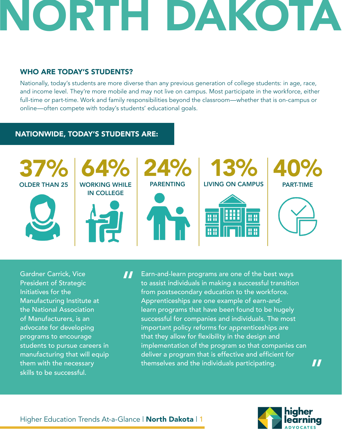### WHO ARE TODAY'S STUDENTS?

Nationally, today's students are more diverse than any previous generation of college students: in age, race, and income level. They're more mobile and may not live on campus. Most participate in the workforce, either full-time or part-time. Work and family responsibilities beyond the classroom—whether that is on-campus or online—often compete with today's students' educational goals.

### NATIONWIDE, TODAY'S STUDENTS ARE:



Gardner Carrick, Vice President of Strategic Initiatives for the Manufacturing Institute at the National Association of Manufacturers, is an advocate for developing programs to encourage students to pursue careers in manufacturing that will equip them with the necessary skills to be successful.

Earn-and-learn programs are one of the best ways to assist individuals in making a successful transition from postsecondary education to the workforce. Apprenticeships are one example of earn-andlearn programs that have been found to be hugely successful for companies and individuals. The most important policy reforms for apprenticeships are that they allow for flexibility in the design and implementation of the program so that companies can deliver a program that is effective and efficient for themselves and the individuals participating. "

"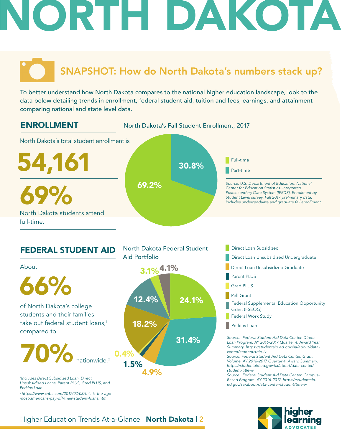### SNAPSHOT: How do North Dakota's numbers stack up?

To better understand how North Dakota compares to the national higher education landscape, look to the data below detailing trends in enrollment, federal student aid, tuition and fees, earnings, and attainment comparing national and state level data.



#### FEDERAL STUDENT AID *Source: Federal Student Aid Data Center. Direct Loan Program. AY 2016-2017 Quarter 4, Award Year Summary. https://studentaid.ed.gov/sa/about/datacenter/student/title-iv Source: Federal Student Aid Data Center. Grant Volume. AY 2016-2017 Quarter 4, Award Summary. https://studentaid.ed.gov/sa/about/data-center/ student/title-iv Source: Federal Student Aid Data Center. Campus-Based Program. AY 2016-2017. https://studentaid. ed.gov/sa/about/data-center/student/title-iv* 31.4% of North Dakota's college **12.4% 24.1%** students and their families take out federal student loans.<sup>1</sup> compared to 66% 70% North Dakota Federal Student Aid Portfolio **Direct Loan Unsubsidized Undergraduate** Direct Loan Subsidized About nationwide. 2 Direct Loan Unsubsidized Graduate Parent PLUS Grad PLUS Pell Grant Federal Supplemental Education Opportunity Grant (FSEOG) Federal Work Study **Perkins Loan**  $0.4%$ 3.1% 4.1% 18.2% *1 Includes Direct Subsidized Loan, Direct Unsubsidized Loans, Parent PLUS, Grad PLUS, and*  4.9% 1.5% 12.4%

### Higher Education Trends At-a-Glance | North Dakota | 2

*Perkins Loan.* 

*2 https://www.cnbc.com/2017/07/03/this-is-the-agemost-americans-pay-off-their-student-loans.html*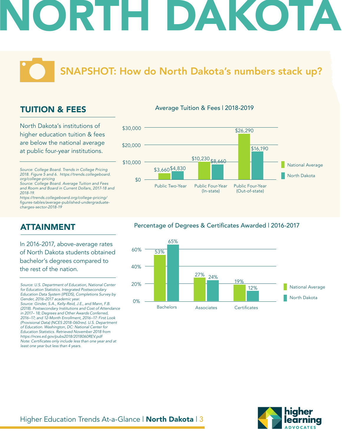SNAPSHOT: How do North Dakota's numbers stack up?

### TUITION & FEES

North Dakota's institutions of higher education tuition & fees are below the national average at public four-year institutions.

*Source: College Board. Trends in College Pricing 2018. Figure 5 and 6. https://trends.collegeboard. org/college-pricing*

*Source: College Board. Average Tuition and Fees and Room and Board in Current Dollars, 2017-18 and 2018-19.*

*https://trends.collegeboard.org/college-pricing/* figures-tables/average-published-undergraduate*charges-sector-2018-19*

### ATTAINMENT

In 2016-2017, above-average rates of North Dakota students obtained bachelor's degrees compared to the rest of the nation.

#### Average Tuition & Fees | 2018-2019



#### Percentage of Degrees & Certificates Awarded | 2016-2017





*Source: U.S. Department of Education, National Center for Education Statistics. Integrated Postsecondary Education Data System (IPEDS), Completions Survey by Gender, 2016-2017 academic year. Source: Ginder, S.A., Kelly-Reid, J.E., and Mann, F.B. (2018). Postsecondary Institutions and Cost of Attendance in 2017– 18; Degrees and Other Awards Conferred, 2016–17; and 12-Month Enrollment, 2016–17: First Look (Provisional Data) (NCES 2018-060rev). U.S. Department of Education. Washington, DC: National Center for Education Statistics. Retrieved November 2018 from https://nces.ed.gov/pubs2018/2018060REV.pdf* Note: Certificates only include less than one year and at *least one year but less than 4 years.*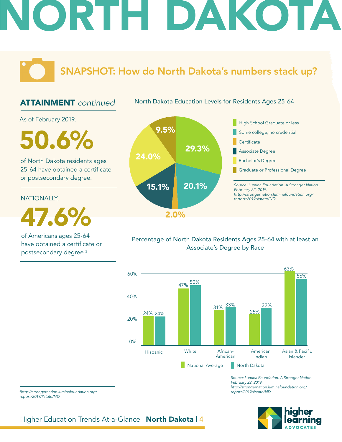SNAPSHOT: How do North Dakota's numbers stack up?

### ATTAINMENT *continued*

North Dakota Education Levels for Residents Ages 25-64

As of February 2019,

 $50.6\%$ 

of North Dakota residents ages 25-64 have obtained a certificate or postsecondary degree.

NATIONALLY,

47.6%

of Americans ages 25-64 have obtained a certificate or postsecondary degree.3



### Percentage of North Dakota Residents Ages 25-64 with at least an Associate's Degree by Race



*Source: Lumina Foundation. A Stronger Nation. February 22, 2019. http://strongernation.luminafoundation.org/ report/2019/#state/ND*



<sup>3</sup>*http://strongernation.luminafoundation.org/ report/2019/#state/ND*

Higher Education Trends At-a-Glance | North Dakota | 4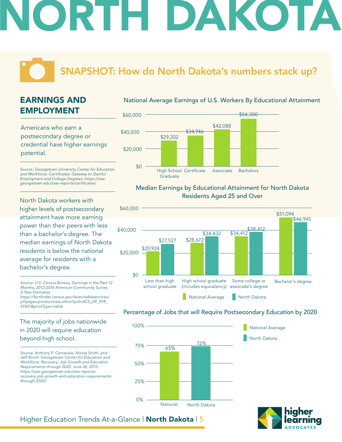### SNAPSHOT: How do North Dakota's numbers stack up?

### EARNINGS AND EMPLOYMENT

Americans who earn a postsecondary degree or credential have higher earnings potential.

*Source: Georgetown University Center for Education*  and Workforce. Certificates: Gateway to Gainful *Employment and College Degrees. https://cew.* georgetown.edu/cew-reports/certificates/

North Dakota workers with higher levels of postsecondary attainment have more earning power than their peers with less than a bachelor's degree. The median earnings of North Dakota residents is below the national average for residents with a bachelor's degree.

*Source: U.S. Census Bureau, Earnings in the Past 12 Months, 2012-2016 American Community Survey 5-Year Estimates.* https://factfinder.census.gov/faces/tableservices/ *jsf/pages/productview.xhtml?pid=ACS\_09\_5YR\_ S1501&prodType=table*

The majority of jobs nationwide in 2020 will require education beyond high school.

*Source: Anthony P. Carnevale, Nicole Smith, and Jeff Strohl. Georgetown Center for Education and Workforce. Recovery: Job Growth and Education Requirements through 2020. June 26, 2013. https://cew.georgetown.edu/cew-reports/ recovery-job-growth-and-education-requirementsthrough-2020/*

### National Average Earnings of U.S. Workers By Educational Attainment



#### Median Earnings by Educational Attainment for North Dakota Residents Aged 25 and Over



### Percentage of Jobs that will Require Postsecondary Education by 2020



North Dakota National Average

### Higher Education Trends At-a-Glance | North Dakota | 5